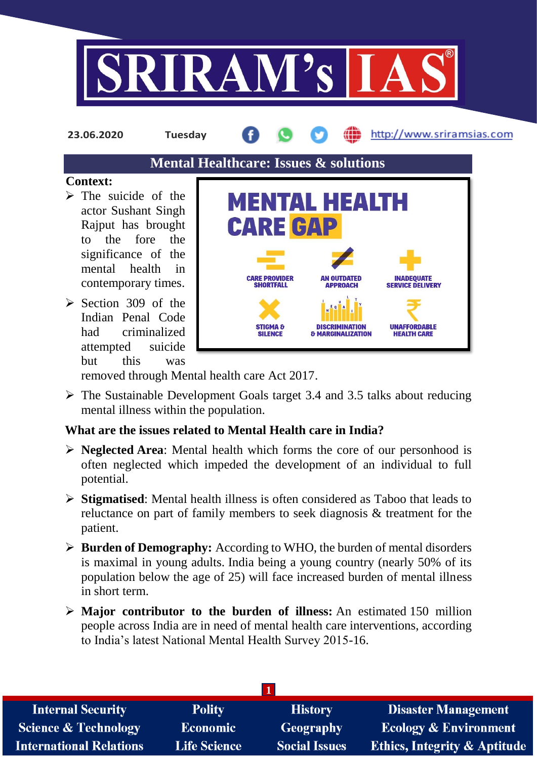

**23.06.2020 Tuesday**

http://www.sriramsias.com

## **Mental Healthcare: Issues & solutions**

## **Context:**

- $\triangleright$  The suicide of the actor Sushant Singh Rajput has brought to the fore the significance of the mental health in contemporary times.
- $\geq$  Section 309 of the Indian Penal Code had criminalized attempted suicide but this was



removed through Mental health care Act 2017.

 $\triangleright$  The Sustainable Development Goals target 3.4 and 3.5 talks about reducing mental illness within the population.

## **What are the issues related to Mental Health care in India?**

- **Neglected Area**: Mental health which forms the core of our personhood is often neglected which impeded the development of an individual to full potential.
- **Stigmatised**: Mental health illness is often considered as Taboo that leads to reluctance on part of family members to seek diagnosis & treatment for the patient.
- **Burden of Demography:** According to WHO, the burden of mental disorders is maximal in young adults. India being a young country (nearly 50% of its population below the age of 25) will face increased burden of mental illness in short term.
- **Major contributor to the burden of illness:** An estimated 150 million people across India are in need of mental health care interventions, according to India's latest National Mental Health Survey 2015-16.

| <b>Internal Security</b>        | <b>Polity</b>       | <b>History</b>       | <b>Disaster Management</b>              |  |  |  |
|---------------------------------|---------------------|----------------------|-----------------------------------------|--|--|--|
| <b>Science &amp; Technology</b> | Economic            | <b>Geography</b>     | <b>Ecology &amp; Environment</b>        |  |  |  |
| <b>International Relations</b>  | <b>Life Science</b> | <b>Social Issues</b> | <b>Ethics, Integrity &amp; Aptitude</b> |  |  |  |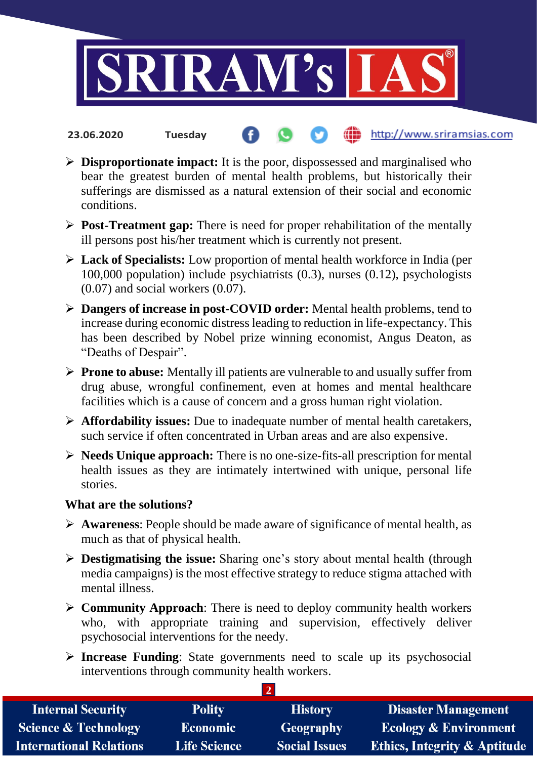

**Disproportionate impact:** It is the poor, dispossessed and marginalised who

**fin** http://www.sriramsias.com

- bear the greatest burden of mental health problems, but historically their sufferings are dismissed as a natural extension of their social and economic conditions.
- **Post-Treatment gap:** There is need for proper rehabilitation of the mentally ill persons post his/her treatment which is currently not present.
- **Lack of Specialists:** Low proportion of mental health workforce in India (per 100,000 population) include psychiatrists (0.3), nurses (0.12), psychologists  $(0.07)$  and social workers  $(0.07)$ .
- **Dangers of increase in post-COVID order:** Mental health problems, tend to increase during economic distress leading to reduction in life-expectancy. This has been described by Nobel prize winning economist, Angus Deaton, as "Deaths of Despair".
- **Prone to abuse:** Mentally ill patients are vulnerable to and usually suffer from drug abuse, wrongful confinement, even at homes and mental healthcare facilities which is a cause of concern and a gross human right violation.
- **Affordability issues:** Due to inadequate number of mental health caretakers, such service if often concentrated in Urban areas and are also expensive.
- **Needs Unique approach:** There is no one-size-fits-all prescription for mental health issues as they are intimately intertwined with unique, personal life stories.

## **What are the solutions?**

**23.06.2020 Tuesday**

- **Awareness**: People should be made aware of significance of mental health, as much as that of physical health.
- **Destigmatising the issue:** Sharing one's story about mental health (through media campaigns) is the most effective strategy to reduce stigma attached with mental illness.
- **Community Approach**: There is need to deploy community health workers who, with appropriate training and supervision, effectively deliver psychosocial interventions for the needy.
- **Increase Funding**: State governments need to scale up its psychosocial interventions through community health workers.

**2** 

| <b>Internal Security</b>        | <b>Polity</b>       | <b>History</b>       | <b>Disaster Management</b>              |  |  |  |
|---------------------------------|---------------------|----------------------|-----------------------------------------|--|--|--|
| <b>Science &amp; Technology</b> | <b>Economic</b>     | Geography            | <b>Ecology &amp; Environment</b>        |  |  |  |
| <b>International Relations</b>  | <b>Life Science</b> | <b>Social Issues</b> | <b>Ethics, Integrity &amp; Aptitude</b> |  |  |  |